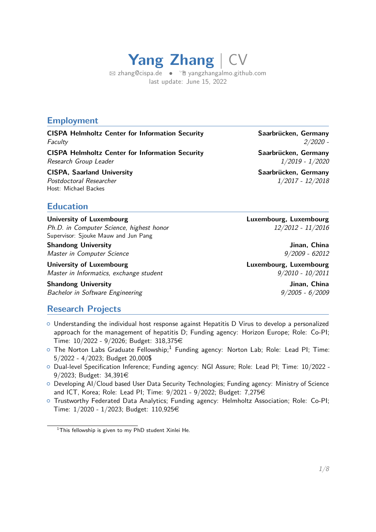**Yang Zhang** | CV  $\boxtimes$  [zhang@cispa.de](mailto:zhang@cispa.de) •  $\oplus$  vangzhangalmo.github.com

last update: June 15, 2022

### **Employment**

**CISPA Helmholtz Center for Information Security Saarbrücken, Germany** Faculty 2/2020 -

**CISPA Helmholtz Center for Information Security Saarbrücken, Germany** Research Group Leader 1/2019 - 1/2020

**CISPA, Saarland University Saarbrücken, Germany** Saarbrücken, Germany Postdoctoral Researcher 1/2017 - 12/2018 Host: Michael Backes

**Education**

**University of Luxembourg Luxembourg, Luxembourg** Ph.D. in Computer Science, highest honor 12/2012 - 11/2016 Supervisor: Sjouke Mauw and Jun Pang

**Shandong University Community Community Shandong University Community Community Community Community Community** Community Community Community Community Community Community Community Community Community Community Community Master in Computer Science 9/2009 - 62012

**University of Luxembourg Luxembourg, Luxembourg** Master in Informatics, exchange student  $9/2010 - 10/2011$ 

**Shandong University Community Community Shandong University Community Community Community Community Community** Community Community Community Community Community Community Community Community Community Community Community Bachelor in Software Engineering 9/2005 - 6/2009

# **Research Projects**

- o Understanding the individual host response against Hepatitis D Virus to develop a personalized approach for the management of hepatitis D; Funding agency: Horizon Europe; Role: Co-PI; Time: 10/2022 - 9/2026; Budget: 318,375€
- $\circ$  The Norton Labs Graduate Fellowship;<sup>[1](#page-0-0)</sup> Funding agency: Norton Lab; Role: Lead PI; Time: 5/2022 - 4/2023; Budget 20,000\$
- { Dual-level Specification Inference; Funding agency: NGI Assure; Role: Lead PI; Time: 10/2022 9/2023; Budget: 34,391€
- { Developing AI/Cloud based User Data Security Technologies; Funding agency: Ministry of Science and ICT, Korea; Role: Lead PI; Time: 9/2021 - 9/2022; Budget: 7,275€
- $\circ$  Trustworthy Federated Data Analytics; Funding agency: Helmholtz Association; Role: Co-PI; Time:  $1/2020 - 1/2023$ ; Budget: 110,925€

<span id="page-0-0"></span><sup>&</sup>lt;sup>1</sup>This fellowship is given to my PhD student Xinlei He.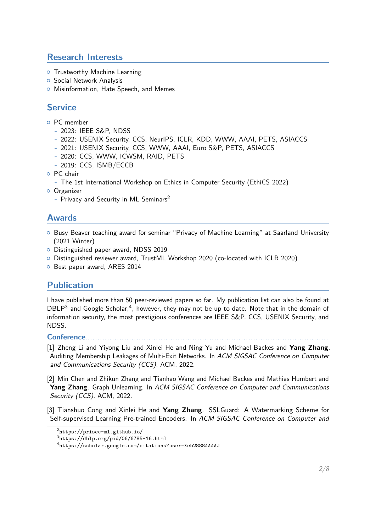# **Research Interests**

- **o** Trustworthy Machine Learning
- **o** Social Network Analysis
- **o** Misinformation, Hate Speech, and Memes

# **Service**

- { PC member
	- **-** 2023: IEEE S&P, NDSS
	- **-** 2022: USENIX Security, CCS, NeurIPS, ICLR, KDD, WWW, AAAI, PETS, ASIACCS
	- **-** 2021: USENIX Security, CCS, WWW, AAAI, Euro S&P, PETS, ASIACCS
	- **-** 2020: CCS, WWW, ICWSM, RAID, PETS
	- **-** 2019: CCS, ISMB/ECCB
- { PC chair
	- **-** The 1st International Workshop on Ethics in Computer Security (EthiCS 2022)
- **O** Organizer
	- **-** Privacy and Security in ML Seminars[2](#page-1-0)

### **Awards**

- o Busy Beaver teaching award for seminar "Privacy of Machine Learning" at Saarland University (2021 Winter)
- { Distinguished paper award, NDSS 2019
- { Distinguished reviewer award, TrustML Workshop 2020 (co-located with ICLR 2020)
- <sup>o</sup> Best paper award, ARES 2014

## **Publication**

I have published more than 50 peer-reviewed papers so far. My publication list can also be found at DBLP<sup>[3](#page-1-1)</sup> and Google Scholar,<sup>[4](#page-1-2)</sup>, however, they may not be up to date. Note that in the domain of information security, the most prestigious conferences are IEEE S&P, CCS, USENIX Security, and NDSS.

#### Conference. . . . . . . . .

[1] Zheng Li and Yiyong Liu and Xinlei He and Ning Yu and Michael Backes and **Yang Zhang**. Auditing Membership Leakages of Multi-Exit Networks. In ACM SIGSAC Conference on Computer and Communications Security (CCS). ACM, 2022.

[2] Min Chen and Zhikun Zhang and Tianhao Wang and Michael Backes and Mathias Humbert and **Yang Zhang**. Graph Unlearning. In ACM SIGSAC Conference on Computer and Communications Security (CCS). ACM, 2022.

[3] Tianshuo Cong and Xinlei He and **Yang Zhang**. SSLGuard: A Watermarking Scheme for Self-supervised Learning Pre-trained Encoders. In ACM SIGSAC Conference on Computer and

<span id="page-1-0"></span><sup>2</sup> <https://prisec-ml.github.io/>

<span id="page-1-1"></span> $^3$ <https://dblp.org/pid/06/6785-16.html>

<span id="page-1-2"></span><sup>4</sup> <https://scholar.google.com/citations?user=Xeb2888AAAAJ>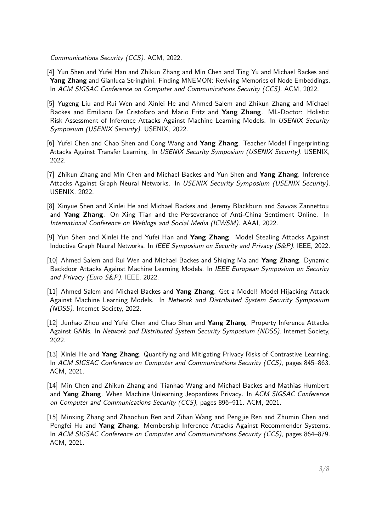Communications Security (CCS). ACM, 2022.

- [4] Yun Shen and Yufei Han and Zhikun Zhang and Min Chen and Ting Yu and Michael Backes and **Yang Zhang** and Gianluca Stringhini. Finding MNEMON: Reviving Memories of Node Embeddings. In ACM SIGSAC Conference on Computer and Communications Security (CCS). ACM, 2022.
- [5] Yugeng Liu and Rui Wen and Xinlei He and Ahmed Salem and Zhikun Zhang and Michael Backes and Emiliano De Cristofaro and Mario Fritz and **Yang Zhang**. ML-Doctor: Holistic Risk Assessment of Inference Attacks Against Machine Learning Models. In USENIX Security Symposium (USENIX Security). USENIX, 2022.
- [6] Yufei Chen and Chao Shen and Cong Wang and **Yang Zhang**. Teacher Model Fingerprinting Attacks Against Transfer Learning. In USENIX Security Symposium (USENIX Security). USENIX, 2022.
- [7] Zhikun Zhang and Min Chen and Michael Backes and Yun Shen and **Yang Zhang**. Inference Attacks Against Graph Neural Networks. In USENIX Security Symposium (USENIX Security). USENIX, 2022.
- [8] Xinyue Shen and Xinlei He and Michael Backes and Jeremy Blackburn and Savvas Zannettou and **Yang Zhang**. On Xing Tian and the Perseverance of Anti-China Sentiment Online. In International Conference on Weblogs and Social Media (ICWSM). AAAI, 2022.
- [9] Yun Shen and Xinlei He and Yufei Han and **Yang Zhang**. Model Stealing Attacks Against Inductive Graph Neural Networks. In IEEE Symposium on Security and Privacy (S&P). IEEE, 2022.
- [10] Ahmed Salem and Rui Wen and Michael Backes and Shiqing Ma and **Yang Zhang**. Dynamic Backdoor Attacks Against Machine Learning Models. In IEEE European Symposium on Security and Privacy (Euro S&P). IEEE, 2022.
- [11] Ahmed Salem and Michael Backes and **Yang Zhang**. Get a Model! Model Hijacking Attack Against Machine Learning Models. In Network and Distributed System Security Symposium (NDSS). Internet Society, 2022.
- [12] Junhao Zhou and Yufei Chen and Chao Shen and **Yang Zhang**. Property Inference Attacks Against GANs. In Network and Distributed System Security Symposium (NDSS). Internet Society, 2022.
- [13] Xinlei He and **Yang Zhang**. Quantifying and Mitigating Privacy Risks of Contrastive Learning. In ACM SIGSAC Conference on Computer and Communications Security (CCS), pages 845–863. ACM, 2021.
- [14] Min Chen and Zhikun Zhang and Tianhao Wang and Michael Backes and Mathias Humbert and **Yang Zhang**. When Machine Unlearning Jeopardizes Privacy. In ACM SIGSAC Conference on Computer and Communications Security (CCS), pages 896–911. ACM, 2021.
- [15] Minxing Zhang and Zhaochun Ren and Zihan Wang and Pengjie Ren and Zhumin Chen and Pengfei Hu and **Yang Zhang**. Membership Inference Attacks Against Recommender Systems. In ACM SIGSAC Conference on Computer and Communications Security (CCS), pages 864–879. ACM, 2021.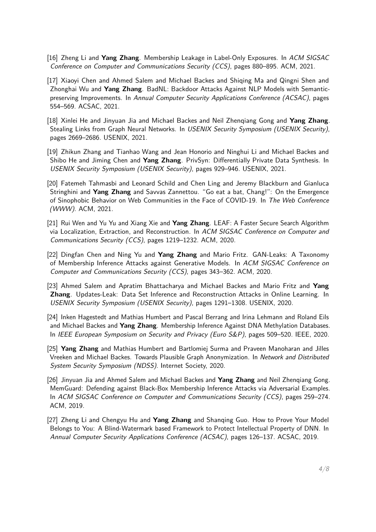- [16] Zheng Li and **Yang Zhang**. Membership Leakage in Label-Only Exposures. In ACM SIGSAC Conference on Computer and Communications Security (CCS), pages 880–895. ACM, 2021.
- [17] Xiaoyi Chen and Ahmed Salem and Michael Backes and Shiqing Ma and Qingni Shen and Zhonghai Wu and **Yang Zhang**. BadNL: Backdoor Attacks Against NLP Models with Semanticpreserving Improvements. In Annual Computer Security Applications Conference (ACSAC), pages 554–569. ACSAC, 2021.
- [18] Xinlei He and Jinyuan Jia and Michael Backes and Neil Zhenqiang Gong and **Yang Zhang**. Stealing Links from Graph Neural Networks. In USENIX Security Symposium (USENIX Security), pages 2669–2686. USENIX, 2021.
- [19] Zhikun Zhang and Tianhao Wang and Jean Honorio and Ninghui Li and Michael Backes and Shibo He and Jiming Chen and **Yang Zhang**. PrivSyn: Differentially Private Data Synthesis. In USENIX Security Symposium (USENIX Security), pages 929–946. USENIX, 2021.
- [20] Fatemeh Tahmasbi and Leonard Schild and Chen Ling and Jeremy Blackburn and Gianluca Stringhini and **Yang Zhang** and Savvas Zannettou. "Go eat a bat, Chang!": On the Emergence of Sinophobic Behavior on Web Communities in the Face of COVID-19. In The Web Conference (WWW). ACM, 2021.
- [21] Rui Wen and Yu Yu and Xiang Xie and **Yang Zhang**. LEAF: A Faster Secure Search Algorithm via Localization, Extraction, and Reconstruction. In ACM SIGSAC Conference on Computer and Communications Security (CCS), pages 1219–1232. ACM, 2020.
- [22] Dingfan Chen and Ning Yu and **Yang Zhang** and Mario Fritz. GAN-Leaks: A Taxonomy of Membership Inference Attacks against Generative Models. In ACM SIGSAC Conference on Computer and Communications Security (CCS), pages 343–362. ACM, 2020.
- [23] Ahmed Salem and Apratim Bhattacharya and Michael Backes and Mario Fritz and **Yang Zhang**. Updates-Leak: Data Set Inference and Reconstruction Attacks in Online Learning. In USENIX Security Symposium (USENIX Security), pages 1291–1308. USENIX, 2020.
- [24] Inken Hagestedt and Mathias Humbert and Pascal Berrang and Irina Lehmann and Roland Eils and Michael Backes and **Yang Zhang**. Membership Inference Against DNA Methylation Databases. In IEEE European Symposium on Security and Privacy (Euro S&P), pages 509-520. IEEE, 2020.
- [25] **Yang Zhang** and Mathias Humbert and Bartlomiej Surma and Praveen Manoharan and Jilles Vreeken and Michael Backes. Towards Plausible Graph Anonymization. In Network and Distributed System Security Symposium (NDSS). Internet Society, 2020.
- [26] Jinyuan Jia and Ahmed Salem and Michael Backes and **Yang Zhang** and Neil Zhenqiang Gong. MemGuard: Defending against Black-Box Membership Inference Attacks via Adversarial Examples. In ACM SIGSAC Conference on Computer and Communications Security (CCS), pages 259–274. ACM, 2019.
- [27] Zheng Li and Chengyu Hu and **Yang Zhang** and Shanqing Guo. How to Prove Your Model Belongs to You: A Blind-Watermark based Framework to Protect Intellectual Property of DNN. In Annual Computer Security Applications Conference (ACSAC), pages 126–137. ACSAC, 2019.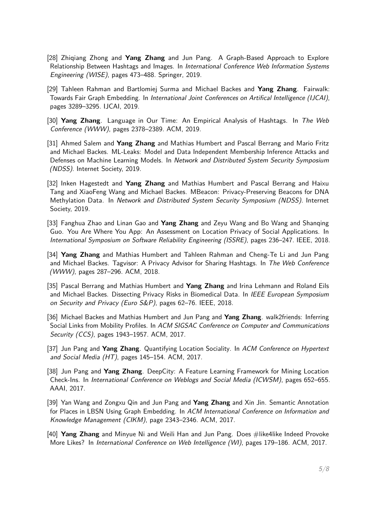- [28] Zhiqiang Zhong and **Yang Zhang** and Jun Pang. A Graph-Based Approach to Explore Relationship Between Hashtags and Images. In International Conference Web Information Systems Engineering (WISE), pages 473–488. Springer, 2019.
- [29] Tahleen Rahman and Bartlomiej Surma and Michael Backes and **Yang Zhang**. Fairwalk: Towards Fair Graph Embedding. In International Joint Conferences on Artifical Intelligence (IJCAI), pages 3289–3295. IJCAI, 2019.
- [30] **Yang Zhang**. Language in Our Time: An Empirical Analysis of Hashtags. In The Web Conference (WWW), pages 2378–2389. ACM, 2019.
- [31] Ahmed Salem and **Yang Zhang** and Mathias Humbert and Pascal Berrang and Mario Fritz and Michael Backes. ML-Leaks: Model and Data Independent Membership Inference Attacks and Defenses on Machine Learning Models. In Network and Distributed System Security Symposium (NDSS). Internet Society, 2019.
- [32] Inken Hagestedt and **Yang Zhang** and Mathias Humbert and Pascal Berrang and Haixu Tang and XiaoFeng Wang and Michael Backes. MBeacon: Privacy-Preserving Beacons for DNA Methylation Data. In Network and Distributed System Security Symposium (NDSS). Internet Society, 2019.
- [33] Fanghua Zhao and Linan Gao and **Yang Zhang** and Zeyu Wang and Bo Wang and Shanqing Guo. You Are Where You App: An Assessment on Location Privacy of Social Applications. In International Symposium on Software Reliability Engineering (ISSRE), pages 236–247. IEEE, 2018.
- [34] **Yang Zhang** and Mathias Humbert and Tahleen Rahman and Cheng-Te Li and Jun Pang and Michael Backes. Tagvisor: A Privacy Advisor for Sharing Hashtags. In The Web Conference (WWW), pages 287–296. ACM, 2018.
- [35] Pascal Berrang and Mathias Humbert and **Yang Zhang** and Irina Lehmann and Roland Eils and Michael Backes. Dissecting Privacy Risks in Biomedical Data. In IEEE European Symposium on Security and Privacy (Euro S&P), pages 62–76. IEEE, 2018.
- [36] Michael Backes and Mathias Humbert and Jun Pang and **Yang Zhang**. walk2friends: Inferring Social Links from Mobility Profiles. In ACM SIGSAC Conference on Computer and Communications Security (CCS), pages 1943–1957. ACM, 2017.
- [37] Jun Pang and **Yang Zhang**. Quantifying Location Sociality. In ACM Conference on Hypertext and Social Media (HT), pages 145–154. ACM, 2017.
- [38] Jun Pang and **Yang Zhang**. DeepCity: A Feature Learning Framework for Mining Location Check-Ins. In International Conference on Weblogs and Social Media (ICWSM), pages 652–655. AAAI, 2017.
- [39] Yan Wang and Zongxu Qin and Jun Pang and **Yang Zhang** and Xin Jin. Semantic Annotation for Places in LBSN Using Graph Embedding. In ACM International Conference on Information and Knowledge Management (CIKM), page 2343–2346. ACM, 2017.
- [40] **Yang Zhang** and Minyue Ni and Weili Han and Jun Pang. Does #like4like Indeed Provoke More Likes? In *International Conference on Web Intelligence (WI)*, pages 179–186. ACM, 2017.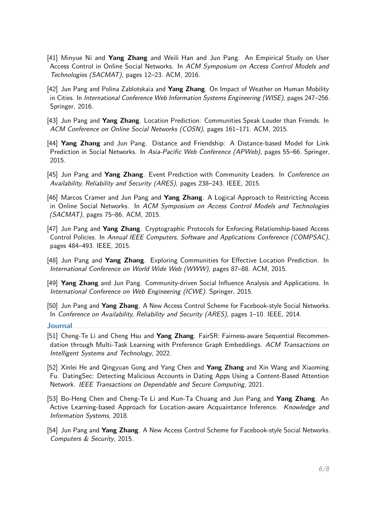- [41] Minyue Ni and **Yang Zhang** and Weili Han and Jun Pang. An Empirical Study on User Access Control in Online Social Networks. In ACM Symposium on Access Control Models and Technologies (SACMAT), pages 12–23. ACM, 2016.
- [42] Jun Pang and Polina Zablotskaia and **Yang Zhang**. On Impact of Weather on Human Mobility in Cities. In International Conference Web Information Systems Engineering (WISE), pages 247–256. Springer, 2016.
- [43] Jun Pang and **Yang Zhang**. Location Prediction: Communities Speak Louder than Friends. In ACM Conference on Online Social Networks (COSN), pages 161–171. ACM, 2015.
- [44] **Yang Zhang** and Jun Pang. Distance and Friendship: A Distance-based Model for Link Prediction in Social Networks. In Asia-Pacific Web Conference (APWeb), pages 55–66. Springer, 2015.
- [45] Jun Pang and **Yang Zhang**. Event Prediction with Community Leaders. In Conference on Availability, Reliability and Security (ARES), pages 238–243. IEEE, 2015.
- [46] Marcos Cramer and Jun Pang and **Yang Zhang**. A Logical Approach to Restricting Access in Online Social Networks. In ACM Symposium on Access Control Models and Technologies (SACMAT), pages 75–86. ACM, 2015.
- [47] Jun Pang and **Yang Zhang**. Cryptographic Protocols for Enforcing Relationship-based Access Control Policies. In Annual IEEE Computers, Software and Applications Conference (COMPSAC), pages 484–493. IEEE, 2015.
- [48] Jun Pang and **Yang Zhang**. Exploring Communities for Effective Location Prediction. In International Conference on World Wide Web (WWW), pages 87–88. ACM, 2015.
- [49] **Yang Zhang** and Jun Pang. Community-driven Social Influence Analysis and Applications. In International Conference on Web Engineering (ICWE). Springer, 2015.
- [50] Jun Pang and **Yang Zhang**. A New Access Control Scheme for Facebook-style Social Networks. In Conference on Availability, Reliability and Security (ARES), pages 1-10. IEEE, 2014.

**Journal**. . . . . . . . . . . . . . . . . . . . . . . . . . . . . . . . . . . . . . . . . . . . . . . . . . . . . . . . . . . . . . . . . . . . . . . . . . . . . . . . . . . . . . . . . . . . . . . . . . . . . . . . . .

- [51] Cheng-Te Li and Cheng Hsu and **Yang Zhang**. FairSR: Fairness-aware Sequential Recommendation through Multi-Task Learning with Preference Graph Embeddings. ACM Transactions on Intelligent Systems and Technology, 2022.
- [52] Xinlei He and Qingyuan Gong and Yang Chen and **Yang Zhang** and Xin Wang and Xiaoming Fu. DatingSec: Detecting Malicious Accounts in Dating Apps Using a Content-Based Attention Network. IEEE Transactions on Dependable and Secure Computing, 2021.
- [53] Bo-Heng Chen and Cheng-Te Li and Kun-Ta Chuang and Jun Pang and **Yang Zhang**. An Active Learning-based Approach for Location-aware Acquaintance Inference. Knowledge and Information Systems, 2018.
- [54] Jun Pang and **Yang Zhang**. A New Access Control Scheme for Facebook-style Social Networks. Computers & Security, 2015.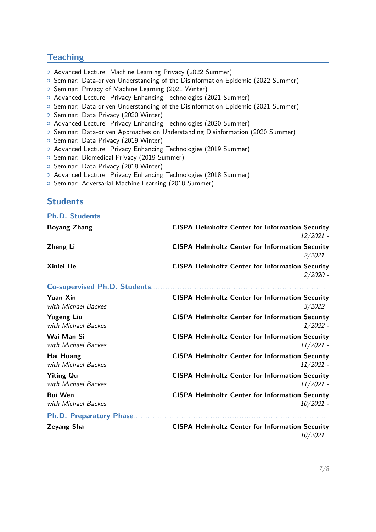# **Teaching**

- { Advanced Lecture: Machine Learning Privacy (2022 Summer)
- { Seminar: Data-driven Understanding of the Disinformation Epidemic (2022 Summer)
- <sup>o</sup> Seminar: Privacy of Machine Learning (2021 Winter)
- { Advanced Lecture: Privacy Enhancing Technologies (2021 Summer)
- { Seminar: Data-driven Understanding of the Disinformation Epidemic (2021 Summer)
- <sup>o</sup> Seminar: Data Privacy (2020 Winter)
- { Advanced Lecture: Privacy Enhancing Technologies (2020 Summer)
- { Seminar: Data-driven Approaches on Understanding Disinformation (2020 Summer)
- <sup>o</sup> Seminar: Data Privacy (2019 Winter)
- { Advanced Lecture: Privacy Enhancing Technologies (2019 Summer)
- o Seminar: Biomedical Privacy (2019 Summer)
- <sup>o</sup> Seminar: Data Privacy (2018 Winter)
- { Advanced Lecture: Privacy Enhancing Technologies (2018 Summer)
- <sup>o</sup> Seminar: Adversarial Machine Learning (2018 Summer)

#### **Students**

| Ph.D. Students                           |                                                                       |
|------------------------------------------|-----------------------------------------------------------------------|
| <b>Boyang Zhang</b>                      | <b>CISPA Helmholtz Center for Information Security</b><br>12/2021 -   |
| Zheng Li                                 | <b>CISPA Helmholtz Center for Information Security</b><br>$2/2021 -$  |
| Xinlei He                                | <b>CISPA Helmholtz Center for Information Security</b><br>$2/2020 -$  |
|                                          |                                                                       |
| <b>Yuan Xin</b><br>with Michael Backes   | <b>CISPA Helmholtz Center for Information Security</b><br>$3/2022 -$  |
| <b>Yugeng Liu</b><br>with Michael Backes | <b>CISPA Helmholtz Center for Information Security</b><br>$1/2022$ -  |
| Wai Man Si<br>with Michael Backes        | <b>CISPA Helmholtz Center for Information Security</b><br>11/2021 -   |
| Hai Huang<br>with Michael Backes         | <b>CISPA Helmholtz Center for Information Security</b><br>$11/2021$ - |
| <b>Yiting Qu</b><br>with Michael Backes  | <b>CISPA Helmholtz Center for Information Security</b><br>$11/2021$ - |
| <b>Rui Wen</b><br>with Michael Backes    | <b>CISPA Helmholtz Center for Information Security</b><br>$10/2021$ - |
| <b>Ph.D. Preparatory Phase</b>           |                                                                       |
| <b>Zeyang Sha</b>                        | <b>CISPA Helmholtz Center for Information Security</b><br>10/2021 -   |